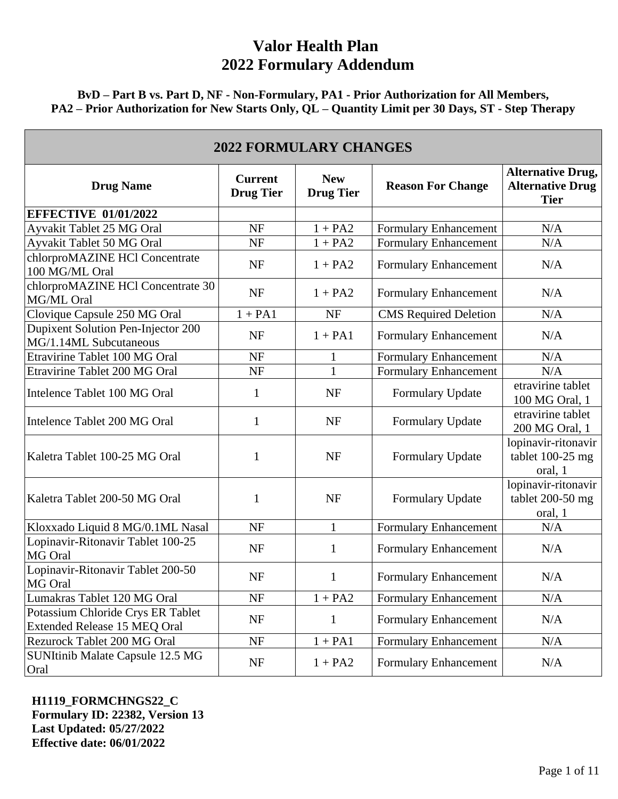**BvD – Part B vs. Part D, NF - Non-Formulary, PA1 - Prior Authorization for All Members, PA2 – Prior Authorization for New Starts Only, QL – Quantity Limit per 30 Days, ST - Step Therapy** 

| <b>2022 FORMULARY CHANGES</b>                                     |                                    |                                |                              |                                                                    |  |
|-------------------------------------------------------------------|------------------------------------|--------------------------------|------------------------------|--------------------------------------------------------------------|--|
| <b>Drug Name</b>                                                  | <b>Current</b><br><b>Drug Tier</b> | <b>New</b><br><b>Drug Tier</b> | <b>Reason For Change</b>     | <b>Alternative Drug,</b><br><b>Alternative Drug</b><br><b>Tier</b> |  |
| <b>EFFECTIVE 01/01/2022</b>                                       |                                    |                                |                              |                                                                    |  |
| Ayvakit Tablet 25 MG Oral                                         | <b>NF</b>                          | $1 + PA2$                      | Formulary Enhancement        | N/A                                                                |  |
| Ayvakit Tablet 50 MG Oral                                         | <b>NF</b>                          | $1 + PA2$                      | <b>Formulary Enhancement</b> | N/A                                                                |  |
| chlorproMAZINE HCl Concentrate<br>100 MG/ML Oral                  | <b>NF</b>                          | $1 + PA2$                      | Formulary Enhancement        | N/A                                                                |  |
| chlorproMAZINE HCl Concentrate 30<br>MG/ML Oral                   | <b>NF</b>                          | $1 + PA2$                      | Formulary Enhancement        | N/A                                                                |  |
| Clovique Capsule 250 MG Oral                                      | $1 + PA1$                          | <b>NF</b>                      | <b>CMS</b> Required Deletion | N/A                                                                |  |
| Dupixent Solution Pen-Injector 200<br>MG/1.14ML Subcutaneous      | <b>NF</b>                          | $1 + PA1$                      | Formulary Enhancement        | N/A                                                                |  |
| Etravirine Tablet 100 MG Oral                                     | <b>NF</b>                          | 1                              | <b>Formulary Enhancement</b> | N/A                                                                |  |
| Etravirine Tablet 200 MG Oral                                     | <b>NF</b>                          | $\mathbf{1}$                   | Formulary Enhancement        | N/A                                                                |  |
| Intelence Tablet 100 MG Oral                                      | 1                                  | NF                             | Formulary Update             | etravirine tablet<br>100 MG Oral, 1                                |  |
| Intelence Tablet 200 MG Oral                                      | 1                                  | <b>NF</b>                      | Formulary Update             | etravirine tablet<br>200 MG Oral, 1                                |  |
| Kaletra Tablet 100-25 MG Oral                                     | 1                                  | <b>NF</b>                      | Formulary Update             | lopinavir-ritonavir<br>tablet $100-25$ mg<br>oral, 1               |  |
| Kaletra Tablet 200-50 MG Oral                                     | 1                                  | <b>NF</b>                      | Formulary Update             | lopinavir-ritonavir<br>tablet 200-50 mg<br>oral, 1                 |  |
| Kloxxado Liquid 8 MG/0.1ML Nasal                                  | NF                                 | $\mathbf{1}$                   | Formulary Enhancement        | N/A                                                                |  |
| Lopinavir-Ritonavir Tablet 100-25<br>MG Oral                      | <b>NF</b>                          | $\mathbf{1}$                   | Formulary Enhancement        | N/A                                                                |  |
| Lopinavir-Ritonavir Tablet 200-50<br>MG Oral                      | <b>NF</b>                          | $\mathbf{1}$                   | <b>Formulary Enhancement</b> | N/A                                                                |  |
| Lumakras Tablet 120 MG Oral                                       | NF                                 | $1 + PA2$                      | <b>Formulary Enhancement</b> | N/A                                                                |  |
| Potassium Chloride Crys ER Tablet<br>Extended Release 15 MEQ Oral | NF                                 | $\mathbf{1}$                   | <b>Formulary Enhancement</b> | N/A                                                                |  |
| Rezurock Tablet 200 MG Oral                                       | NF                                 | $1 + PA1$                      | <b>Formulary Enhancement</b> | N/A                                                                |  |
| SUNItinib Malate Capsule 12.5 MG<br>Oral                          | <b>NF</b>                          | $1 + PA2$                      | <b>Formulary Enhancement</b> | N/A                                                                |  |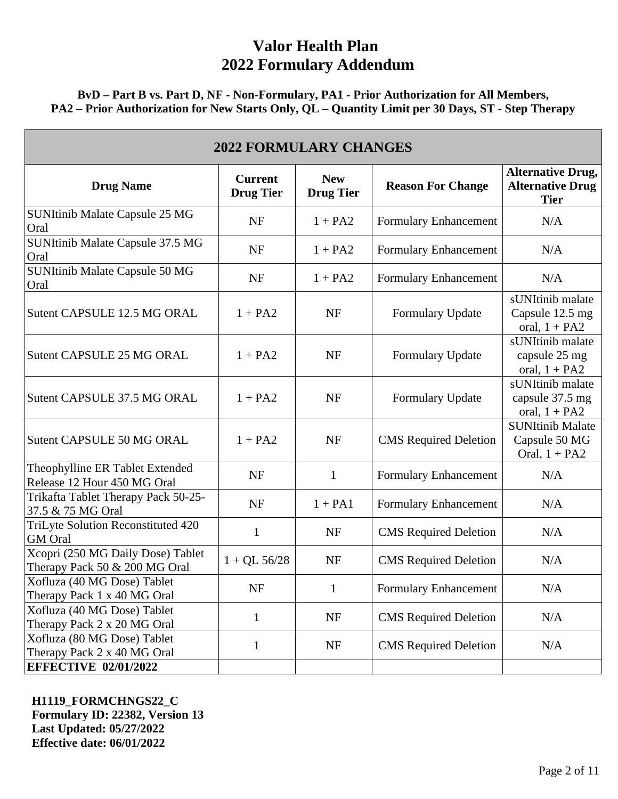**BvD – Part B vs. Part D, NF - Non-Formulary, PA1 - Prior Authorization for All Members, PA2 – Prior Authorization for New Starts Only, QL – Quantity Limit per 30 Days, ST - Step Therapy** 

| <b>2022 FORMULARY CHANGES</b>                                      |                                    |                                |                              |                                                                    |  |
|--------------------------------------------------------------------|------------------------------------|--------------------------------|------------------------------|--------------------------------------------------------------------|--|
| <b>Drug Name</b>                                                   | <b>Current</b><br><b>Drug Tier</b> | <b>New</b><br><b>Drug Tier</b> | <b>Reason For Change</b>     | <b>Alternative Drug,</b><br><b>Alternative Drug</b><br><b>Tier</b> |  |
| <b>SUNItinib Malate Capsule 25 MG</b><br>Oral                      | <b>NF</b>                          | $1 + PA2$                      | Formulary Enhancement        | N/A                                                                |  |
| SUNItinib Malate Capsule 37.5 MG<br>Oral                           | <b>NF</b>                          | $1 + PA2$                      | Formulary Enhancement        | N/A                                                                |  |
| SUNItinib Malate Capsule 50 MG<br>Oral                             | <b>NF</b>                          | $1 + PA2$                      | Formulary Enhancement        | N/A                                                                |  |
| Sutent CAPSULE 12.5 MG ORAL                                        | $1 + PA2$                          | <b>NF</b>                      | Formulary Update             | sUNItinib malate<br>Capsule 12.5 mg<br>oral, $1 + PA2$             |  |
| Sutent CAPSULE 25 MG ORAL                                          | $1 + PA2$                          | <b>NF</b>                      | Formulary Update             | sUNItinib malate<br>capsule 25 mg<br>oral, $1 + PA2$               |  |
| Sutent CAPSULE 37.5 MG ORAL                                        | $1 + PA2$                          | NF                             | Formulary Update             | sUNItinib malate<br>capsule 37.5 mg<br>oral, $1 + PA2$             |  |
| Sutent CAPSULE 50 MG ORAL                                          | $1 + PA2$                          | <b>NF</b>                      | <b>CMS</b> Required Deletion | <b>SUNItinib Malate</b><br>Capsule 50 MG<br>Oral, $1 + PA2$        |  |
| Theophylline ER Tablet Extended<br>Release 12 Hour 450 MG Oral     | <b>NF</b>                          | $\mathbf{1}$                   | Formulary Enhancement        | N/A                                                                |  |
| Trikafta Tablet Therapy Pack 50-25-<br>37.5 & 75 MG Oral           | <b>NF</b>                          | $1 + PA1$                      | Formulary Enhancement        | N/A                                                                |  |
| TriLyte Solution Reconstituted 420<br><b>GM</b> Oral               | 1                                  | NF                             | <b>CMS</b> Required Deletion | N/A                                                                |  |
| Xcopri (250 MG Daily Dose) Tablet<br>Therapy Pack 50 & 200 MG Oral | $1 + QL$ 56/28                     | NF                             | <b>CMS</b> Required Deletion | N/A                                                                |  |
| Xofluza (40 MG Dose) Tablet<br>Therapy Pack 1 x 40 MG Oral         | <b>NF</b>                          | $\mathbf{1}$                   | <b>Formulary Enhancement</b> | N/A                                                                |  |
| Xofluza (40 MG Dose) Tablet<br>Therapy Pack 2 x 20 MG Oral         | 1                                  | NF                             | <b>CMS</b> Required Deletion | N/A                                                                |  |
| Xofluza (80 MG Dose) Tablet<br>Therapy Pack 2 x 40 MG Oral         | 1                                  | NF                             | <b>CMS</b> Required Deletion | N/A                                                                |  |
| <b>EFFECTIVE 02/01/2022</b>                                        |                                    |                                |                              |                                                                    |  |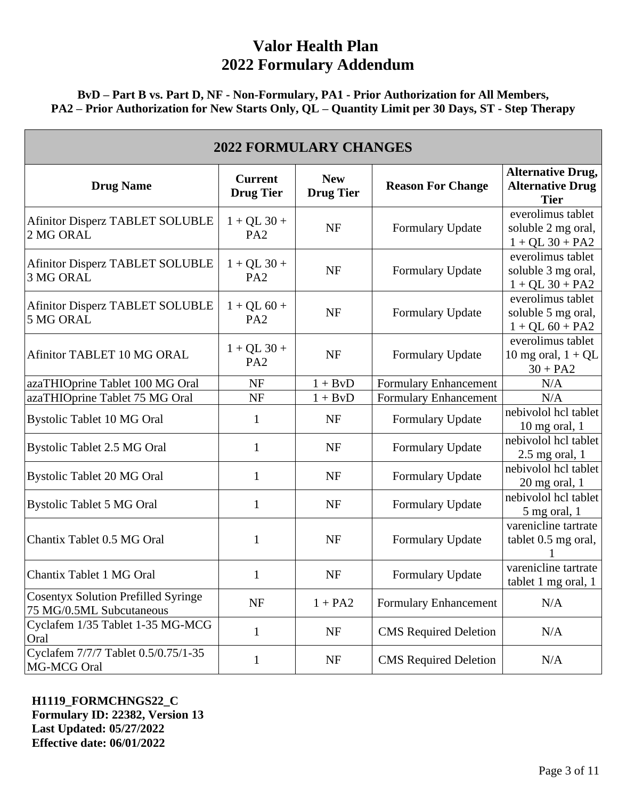### **BvD – Part B vs. Part D, NF - Non-Formulary, PA1 - Prior Authorization for All Members, PA2 – Prior Authorization for New Starts Only, QL – Quantity Limit per 30 Days, ST - Step Therapy**

| <b>2022 FORMULARY CHANGES</b>                                          |                                    |                                |                              |                                                                    |  |
|------------------------------------------------------------------------|------------------------------------|--------------------------------|------------------------------|--------------------------------------------------------------------|--|
| <b>Drug Name</b>                                                       | <b>Current</b><br><b>Drug Tier</b> | <b>New</b><br><b>Drug Tier</b> | <b>Reason For Change</b>     | <b>Alternative Drug,</b><br><b>Alternative Drug</b><br><b>Tier</b> |  |
| <b>Afinitor Disperz TABLET SOLUBLE</b><br>2 MG ORAL                    | $1 + QL$ 30 +<br>PA <sub>2</sub>   | <b>NF</b>                      | Formulary Update             | everolimus tablet<br>soluble 2 mg oral,<br>$1 + QL$ 30 + PA2       |  |
| <b>Afinitor Disperz TABLET SOLUBLE</b><br>3 MG ORAL                    | $1 + QL$ 30 +<br>PA <sub>2</sub>   | <b>NF</b>                      | Formulary Update             | everolimus tablet<br>soluble 3 mg oral,<br>$1 + QL 30 + PA2$       |  |
| <b>Afinitor Disperz TABLET SOLUBLE</b><br>5 MG ORAL                    | $1 + QL 60 +$<br>PA <sub>2</sub>   | <b>NF</b>                      | Formulary Update             | everolimus tablet<br>soluble 5 mg oral,<br>$1 + QL 60 + PA2$       |  |
| Afinitor TABLET 10 MG ORAL                                             | $1 + QL$ 30 +<br>PA <sub>2</sub>   | <b>NF</b>                      | Formulary Update             | everolimus tablet<br>10 mg oral, $1 + QL$<br>$30 + PA2$            |  |
| azaTHIOprine Tablet 100 MG Oral                                        | NF                                 | $1 + BvD$                      | Formulary Enhancement        | N/A                                                                |  |
| azaTHIOprine Tablet 75 MG Oral                                         | <b>NF</b>                          | $1 + BvD$                      | <b>Formulary Enhancement</b> | N/A                                                                |  |
| <b>Bystolic Tablet 10 MG Oral</b>                                      | 1                                  | <b>NF</b>                      | Formulary Update             | nebivolol hcl tablet<br>$10$ mg oral, 1                            |  |
| <b>Bystolic Tablet 2.5 MG Oral</b>                                     | $\mathbf{1}$                       | <b>NF</b>                      | Formulary Update             | nebivolol hcl tablet<br>$2.5$ mg oral, 1                           |  |
| <b>Bystolic Tablet 20 MG Oral</b>                                      | 1                                  | NF                             | Formulary Update             | nebivolol hcl tablet<br>$20$ mg oral, 1                            |  |
| <b>Bystolic Tablet 5 MG Oral</b>                                       | $\mathbf{1}$                       | <b>NF</b>                      | Formulary Update             | nebivolol hcl tablet<br>5 mg oral, 1                               |  |
| Chantix Tablet 0.5 MG Oral                                             | 1                                  | <b>NF</b>                      | Formulary Update             | varenicline tartrate<br>tablet 0.5 mg oral,                        |  |
| Chantix Tablet 1 MG Oral                                               | $\mathbf 1$                        | <b>NF</b>                      | Formulary Update             | varenicline tartrate<br>tablet 1 mg oral, 1                        |  |
| <b>Cosentyx Solution Prefilled Syringe</b><br>75 MG/0.5ML Subcutaneous | NF                                 | $1 + PA2$                      | Formulary Enhancement        | N/A                                                                |  |
| Cyclafem 1/35 Tablet 1-35 MG-MCG<br>Oral                               | 1                                  | NF                             | <b>CMS</b> Required Deletion | N/A                                                                |  |
| Cyclafem 7/7/7 Tablet 0.5/0.75/1-35<br>MG-MCG Oral                     | $\mathbf 1$                        | NF                             | <b>CMS</b> Required Deletion | N/A                                                                |  |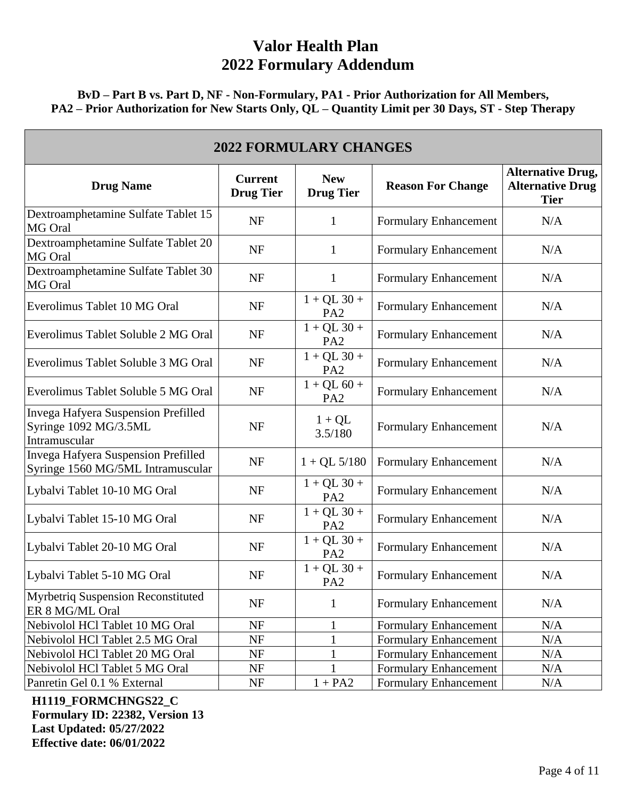**BvD – Part B vs. Part D, NF - Non-Formulary, PA1 - Prior Authorization for All Members, PA2 – Prior Authorization for New Starts Only, QL – Quantity Limit per 30 Days, ST - Step Therapy** 

| <b>2022 FORMULARY CHANGES</b>                                                 |                                    |                                  |                              |                                                                    |  |
|-------------------------------------------------------------------------------|------------------------------------|----------------------------------|------------------------------|--------------------------------------------------------------------|--|
| <b>Drug Name</b>                                                              | <b>Current</b><br><b>Drug Tier</b> | <b>New</b><br><b>Drug Tier</b>   | <b>Reason For Change</b>     | <b>Alternative Drug,</b><br><b>Alternative Drug</b><br><b>Tier</b> |  |
| Dextroamphetamine Sulfate Tablet 15<br>MG Oral                                | <b>NF</b>                          | $\mathbf{1}$                     | Formulary Enhancement        | N/A                                                                |  |
| Dextroamphetamine Sulfate Tablet 20<br>MG Oral                                | <b>NF</b>                          | 1                                | Formulary Enhancement        | N/A                                                                |  |
| Dextroamphetamine Sulfate Tablet 30<br>MG Oral                                | <b>NF</b>                          | $\mathbf{1}$                     | Formulary Enhancement        | N/A                                                                |  |
| Everolimus Tablet 10 MG Oral                                                  | <b>NF</b>                          | $1 + QL$ 30 +<br>PA <sub>2</sub> | Formulary Enhancement        | N/A                                                                |  |
| Everolimus Tablet Soluble 2 MG Oral                                           | <b>NF</b>                          | $1 + QL$ 30 +<br>PA <sub>2</sub> | Formulary Enhancement        | N/A                                                                |  |
| Everolimus Tablet Soluble 3 MG Oral                                           | <b>NF</b>                          | $1 + QL$ 30 +<br>PA <sub>2</sub> | <b>Formulary Enhancement</b> | N/A                                                                |  |
| Everolimus Tablet Soluble 5 MG Oral                                           | <b>NF</b>                          | $1 + QL 60 +$<br>PA <sub>2</sub> | <b>Formulary Enhancement</b> | N/A                                                                |  |
| Invega Hafyera Suspension Prefilled<br>Syringe 1092 MG/3.5ML<br>Intramuscular | <b>NF</b>                          | $1 + QL$<br>3.5/180              | <b>Formulary Enhancement</b> | N/A                                                                |  |
| Invega Hafyera Suspension Prefilled<br>Syringe 1560 MG/5ML Intramuscular      | <b>NF</b>                          | $1 + QL$ 5/180                   | Formulary Enhancement        | N/A                                                                |  |
| Lybalvi Tablet 10-10 MG Oral                                                  | NF                                 | $1 + QL$ 30 +<br>PA <sub>2</sub> | <b>Formulary Enhancement</b> | N/A                                                                |  |
| Lybalvi Tablet 15-10 MG Oral                                                  | NF                                 | $1 + QL$ 30 +<br>PA <sub>2</sub> | <b>Formulary Enhancement</b> | N/A                                                                |  |
| Lybalvi Tablet 20-10 MG Oral                                                  | NF                                 | $1 + QL$ 30 +<br>PA <sub>2</sub> | Formulary Enhancement        | N/A                                                                |  |
| Lybalvi Tablet 5-10 MG Oral                                                   | <b>NF</b>                          | $1 + QL$ 30 +<br>PA <sub>2</sub> | <b>Formulary Enhancement</b> | N/A                                                                |  |
| Myrbetriq Suspension Reconstituted<br>ER 8 MG/ML Oral                         | <b>NF</b>                          | $\mathbf{1}$                     | <b>Formulary Enhancement</b> | N/A                                                                |  |
| Nebivolol HCl Tablet 10 MG Oral                                               | NF                                 | $\mathbf{1}$                     | Formulary Enhancement        | N/A                                                                |  |
| Nebivolol HCl Tablet 2.5 MG Oral                                              | NF                                 | $\mathbf 1$                      | <b>Formulary Enhancement</b> | N/A                                                                |  |
| Nebivolol HCl Tablet 20 MG Oral                                               | NF                                 | $\mathbf{1}$                     | <b>Formulary Enhancement</b> | N/A                                                                |  |
| Nebivolol HCl Tablet 5 MG Oral                                                | NF                                 | $\mathbf{1}$                     | Formulary Enhancement        | N/A                                                                |  |
| Panretin Gel 0.1 % External                                                   | NF                                 | $1 + PA2$                        | <b>Formulary Enhancement</b> | N/A                                                                |  |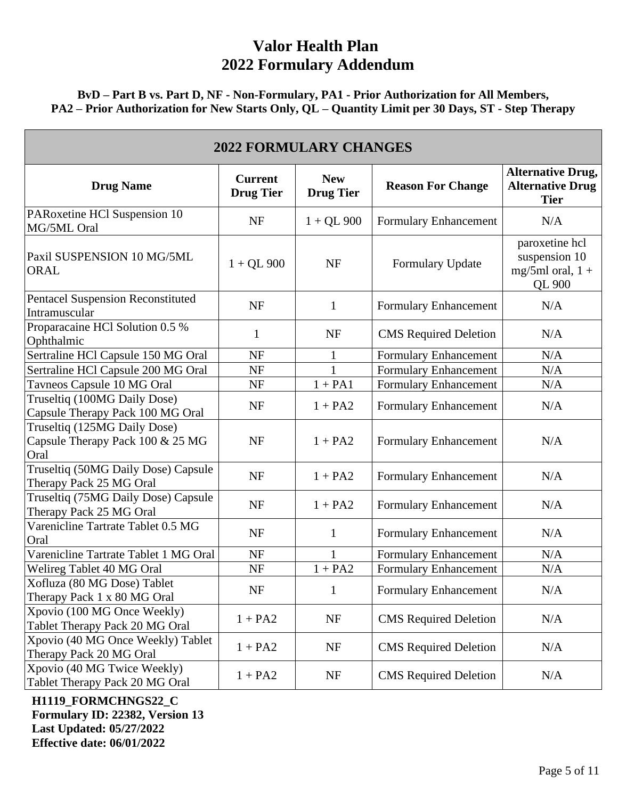**BvD – Part B vs. Part D, NF - Non-Formulary, PA1 - Prior Authorization for All Members, PA2 – Prior Authorization for New Starts Only, QL – Quantity Limit per 30 Days, ST - Step Therapy** 

| <b>2022 FORMULARY CHANGES</b>                                            |                                    |                                |                              |                                                                        |  |
|--------------------------------------------------------------------------|------------------------------------|--------------------------------|------------------------------|------------------------------------------------------------------------|--|
| <b>Drug Name</b>                                                         | <b>Current</b><br><b>Drug Tier</b> | <b>New</b><br><b>Drug Tier</b> | <b>Reason For Change</b>     | <b>Alternative Drug,</b><br><b>Alternative Drug</b><br><b>Tier</b>     |  |
| PARoxetine HCl Suspension 10<br>MG/5ML Oral                              | <b>NF</b>                          | $1 + QL$ 900                   | Formulary Enhancement        | N/A                                                                    |  |
| Paxil SUSPENSION 10 MG/5ML<br><b>ORAL</b>                                | $1 + QL$ 900                       | <b>NF</b>                      | Formulary Update             | paroxetine hcl<br>suspension 10<br>mg/5ml oral, $1 +$<br><b>QL 900</b> |  |
| <b>Pentacel Suspension Reconstituted</b><br>Intramuscular                | <b>NF</b>                          | $\mathbf{1}$                   | <b>Formulary Enhancement</b> | N/A                                                                    |  |
| Proparacaine HCl Solution 0.5 %<br>Ophthalmic                            | 1                                  | <b>NF</b>                      | <b>CMS</b> Required Deletion | N/A                                                                    |  |
| Sertraline HCl Capsule 150 MG Oral                                       | <b>NF</b>                          | $\mathbf{1}$                   | <b>Formulary Enhancement</b> | N/A                                                                    |  |
| Sertraline HCl Capsule 200 MG Oral                                       | <b>NF</b>                          | 1                              | Formulary Enhancement        | N/A                                                                    |  |
| Tavneos Capsule 10 MG Oral                                               | NF                                 | $1 + PA1$                      | <b>Formulary Enhancement</b> | N/A                                                                    |  |
| Truseltiq (100MG Daily Dose)<br>Capsule Therapy Pack 100 MG Oral         | <b>NF</b>                          | $1 + PA2$                      | <b>Formulary Enhancement</b> | N/A                                                                    |  |
| Truseltiq (125MG Daily Dose)<br>Capsule Therapy Pack 100 & 25 MG<br>Oral | <b>NF</b>                          | $1 + PA2$                      | Formulary Enhancement        | N/A                                                                    |  |
| Truseltiq (50MG Daily Dose) Capsule<br>Therapy Pack 25 MG Oral           | <b>NF</b>                          | $1 + PA2$                      | Formulary Enhancement        | N/A                                                                    |  |
| Truseltiq (75MG Daily Dose) Capsule<br>Therapy Pack 25 MG Oral           | <b>NF</b>                          | $1 + PA2$                      | Formulary Enhancement        | N/A                                                                    |  |
| Varenicline Tartrate Tablet 0.5 MG<br>Oral                               | <b>NF</b>                          | $\mathbf{1}$                   | Formulary Enhancement        | N/A                                                                    |  |
| Varenicline Tartrate Tablet 1 MG Oral                                    | NF                                 |                                | <b>Formulary Enhancement</b> | N/A                                                                    |  |
| Welireg Tablet 40 MG Oral                                                | <b>NF</b>                          | $1 + PA2$                      | Formulary Enhancement        | N/A                                                                    |  |
| Xofluza (80 MG Dose) Tablet<br>Therapy Pack 1 x 80 MG Oral               | <b>NF</b>                          | $\mathbf{1}$                   | Formulary Enhancement        | N/A                                                                    |  |
| Xpovio (100 MG Once Weekly)<br>Tablet Therapy Pack 20 MG Oral            | $1 + PA2$                          | NF                             | <b>CMS</b> Required Deletion | N/A                                                                    |  |
| Xpovio (40 MG Once Weekly) Tablet<br>Therapy Pack 20 MG Oral             | $1 + PA2$                          | NF                             | <b>CMS</b> Required Deletion | N/A                                                                    |  |
| Xpovio (40 MG Twice Weekly)<br>Tablet Therapy Pack 20 MG Oral            | $1 + PA2$                          | NF                             | <b>CMS</b> Required Deletion | N/A                                                                    |  |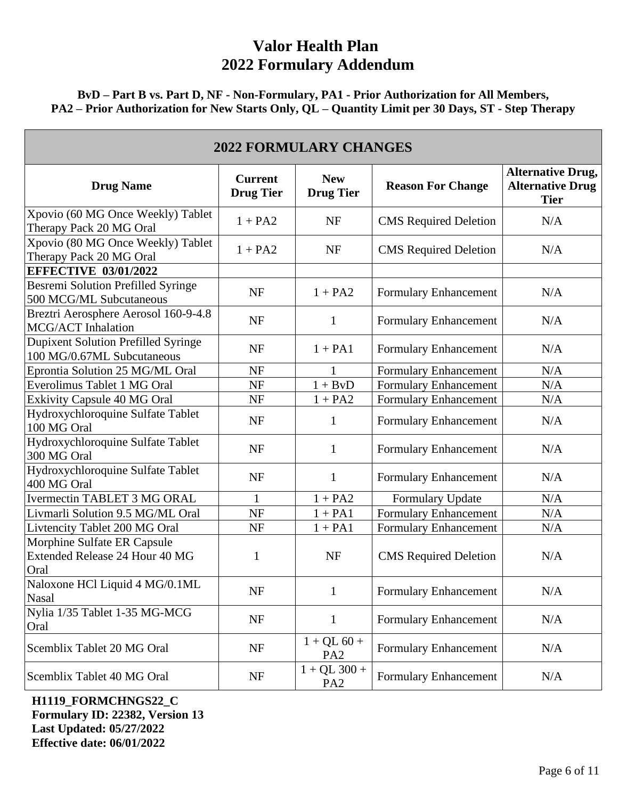### **BvD – Part B vs. Part D, NF - Non-Formulary, PA1 - Prior Authorization for All Members, PA2 – Prior Authorization for New Starts Only, QL – Quantity Limit per 30 Days, ST - Step Therapy**

| <b>2022 FORMULARY CHANGES</b>                                            |                                    |                                   |                              |                                                                    |  |
|--------------------------------------------------------------------------|------------------------------------|-----------------------------------|------------------------------|--------------------------------------------------------------------|--|
| <b>Drug Name</b>                                                         | <b>Current</b><br><b>Drug Tier</b> | <b>New</b><br><b>Drug Tier</b>    | <b>Reason For Change</b>     | <b>Alternative Drug,</b><br><b>Alternative Drug</b><br><b>Tier</b> |  |
| Xpovio (60 MG Once Weekly) Tablet<br>Therapy Pack 20 MG Oral             | $1 + PA2$                          | <b>NF</b>                         | <b>CMS</b> Required Deletion | N/A                                                                |  |
| Xpovio (80 MG Once Weekly) Tablet<br>Therapy Pack 20 MG Oral             | $1 + PA2$                          | <b>NF</b>                         | <b>CMS</b> Required Deletion | N/A                                                                |  |
| <b>EFFECTIVE 03/01/2022</b>                                              |                                    |                                   |                              |                                                                    |  |
| <b>Besremi Solution Prefilled Syringe</b><br>500 MCG/ML Subcutaneous     | <b>NF</b>                          | $1 + PA2$                         | Formulary Enhancement        | N/A                                                                |  |
| Breztri Aerosphere Aerosol 160-9-4.8<br>MCG/ACT Inhalation               | <b>NF</b>                          | 1                                 | Formulary Enhancement        | N/A                                                                |  |
| <b>Dupixent Solution Prefilled Syringe</b><br>100 MG/0.67ML Subcutaneous | <b>NF</b>                          | $1 + PA1$                         | Formulary Enhancement        | N/A                                                                |  |
| Eprontia Solution 25 MG/ML Oral                                          | <b>NF</b>                          |                                   | Formulary Enhancement        | N/A                                                                |  |
| Everolimus Tablet 1 MG Oral                                              | <b>NF</b>                          | $1 + BvD$                         | <b>Formulary Enhancement</b> | N/A                                                                |  |
| Exkivity Capsule 40 MG Oral                                              | NF                                 | $1 + PA2$                         | <b>Formulary Enhancement</b> | N/A                                                                |  |
| Hydroxychloroquine Sulfate Tablet<br>100 MG Oral                         | <b>NF</b>                          | 1                                 | Formulary Enhancement        | N/A                                                                |  |
| Hydroxychloroquine Sulfate Tablet<br>300 MG Oral                         | <b>NF</b>                          | $\mathbf{1}$                      | Formulary Enhancement        | N/A                                                                |  |
| Hydroxychloroquine Sulfate Tablet<br>400 MG Oral                         | <b>NF</b>                          | 1                                 | Formulary Enhancement        | N/A                                                                |  |
| <b>Ivermectin TABLET 3 MG ORAL</b>                                       | 1                                  | $1 + PA2$                         | Formulary Update             | N/A                                                                |  |
| Livmarli Solution 9.5 MG/ML Oral                                         | <b>NF</b>                          | $1 + PA1$                         | Formulary Enhancement        | N/A                                                                |  |
| Livtencity Tablet 200 MG Oral                                            | NF                                 | $1 + PA1$                         | <b>Formulary Enhancement</b> | N/A                                                                |  |
| Morphine Sulfate ER Capsule<br>Extended Release 24 Hour 40 MG<br>Oral    | 1                                  | <b>NF</b>                         | <b>CMS</b> Required Deletion | N/A                                                                |  |
| Naloxone HCl Liquid 4 MG/0.1ML<br><b>Nasal</b>                           | <b>NF</b>                          | $\mathbf{1}$                      | Formulary Enhancement        | N/A                                                                |  |
| Nylia 1/35 Tablet 1-35 MG-MCG<br>Oral                                    | NF                                 | $\mathbf{1}$                      | Formulary Enhancement        | N/A                                                                |  |
| Scemblix Tablet 20 MG Oral                                               | NF                                 | $1 + QL 60 +$<br>PA <sub>2</sub>  | Formulary Enhancement        | N/A                                                                |  |
| Scemblix Tablet 40 MG Oral                                               | NF                                 | $1 + QL$ 300 +<br>PA <sub>2</sub> | Formulary Enhancement        | N/A                                                                |  |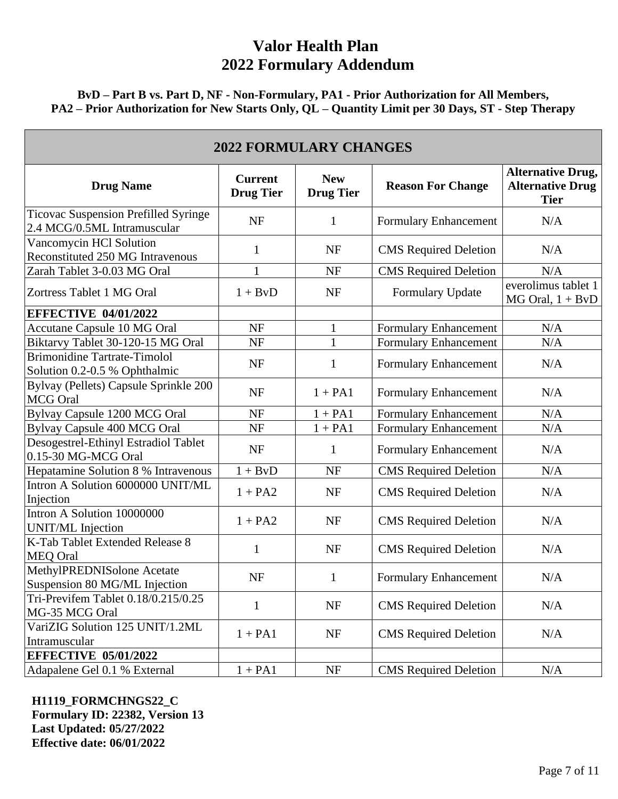**BvD – Part B vs. Part D, NF - Non-Formulary, PA1 - Prior Authorization for All Members, PA2 – Prior Authorization for New Starts Only, QL – Quantity Limit per 30 Days, ST - Step Therapy** 

| <b>2022 FORMULARY CHANGES</b>                                        |                                    |                                |                              |                                                                    |  |
|----------------------------------------------------------------------|------------------------------------|--------------------------------|------------------------------|--------------------------------------------------------------------|--|
| <b>Drug Name</b>                                                     | <b>Current</b><br><b>Drug Tier</b> | <b>New</b><br><b>Drug Tier</b> | <b>Reason For Change</b>     | <b>Alternative Drug,</b><br><b>Alternative Drug</b><br><b>Tier</b> |  |
| Ticovac Suspension Prefilled Syringe<br>2.4 MCG/0.5ML Intramuscular  | <b>NF</b>                          | $\mathbf{1}$                   | Formulary Enhancement        | N/A                                                                |  |
| Vancomycin HCl Solution<br>Reconstituted 250 MG Intravenous          | 1                                  | <b>NF</b>                      | <b>CMS</b> Required Deletion | N/A                                                                |  |
| Zarah Tablet 3-0.03 MG Oral                                          | $\mathbf{1}$                       | <b>NF</b>                      | <b>CMS</b> Required Deletion | N/A                                                                |  |
| Zortress Tablet 1 MG Oral                                            | $1 + BvD$                          | <b>NF</b>                      | <b>Formulary Update</b>      | everolimus tablet 1<br>$MG$ Oral, $1 + BvD$                        |  |
| <b>EFFECTIVE 04/01/2022</b>                                          |                                    |                                |                              |                                                                    |  |
| Accutane Capsule 10 MG Oral                                          | <b>NF</b>                          | $\mathbf{1}$                   | Formulary Enhancement        | N/A                                                                |  |
| Biktarvy Tablet 30-120-15 MG Oral                                    | <b>NF</b>                          | 1                              | <b>Formulary Enhancement</b> | N/A                                                                |  |
| <b>Brimonidine Tartrate-Timolol</b><br>Solution 0.2-0.5 % Ophthalmic | <b>NF</b>                          | $\mathbf{1}$                   | <b>Formulary Enhancement</b> | N/A                                                                |  |
| Bylvay (Pellets) Capsule Sprinkle 200<br><b>MCG</b> Oral             | <b>NF</b>                          | $1 + PA1$                      | Formulary Enhancement        | N/A                                                                |  |
| Bylvay Capsule 1200 MCG Oral                                         | <b>NF</b>                          | $1 + PA1$                      | Formulary Enhancement        | N/A                                                                |  |
| Bylvay Capsule 400 MCG Oral                                          | <b>NF</b>                          | $1 + PA1$                      | <b>Formulary Enhancement</b> | N/A                                                                |  |
| Desogestrel-Ethinyl Estradiol Tablet<br>0.15-30 MG-MCG Oral          | <b>NF</b>                          | $\mathbf{1}$                   | Formulary Enhancement        | N/A                                                                |  |
| Hepatamine Solution 8 % Intravenous                                  | $1 + BvD$                          | <b>NF</b>                      | <b>CMS</b> Required Deletion | N/A                                                                |  |
| Intron A Solution 6000000 UNIT/ML<br>Injection                       | $1 + PA2$                          | <b>NF</b>                      | <b>CMS</b> Required Deletion | N/A                                                                |  |
| Intron A Solution 10000000<br>UNIT/ML Injection                      | $1 + PA2$                          | <b>NF</b>                      | <b>CMS</b> Required Deletion | N/A                                                                |  |
| K-Tab Tablet Extended Release 8<br><b>MEQ Oral</b>                   | 1                                  | <b>NF</b>                      | <b>CMS</b> Required Deletion | N/A                                                                |  |
| MethylPREDNISolone Acetate<br>Suspension 80 MG/ML Injection          | <b>NF</b>                          | $\mathbf{1}$                   | Formulary Enhancement        | N/A                                                                |  |
| Tri-Previfem Tablet 0.18/0.215/0.25<br>MG-35 MCG Oral                | 1                                  | <b>NF</b>                      | <b>CMS</b> Required Deletion | N/A                                                                |  |
| VariZIG Solution 125 UNIT/1.2ML<br>Intramuscular                     | $1 + PA1$                          | <b>NF</b>                      | <b>CMS</b> Required Deletion | N/A                                                                |  |
| <b>EFFECTIVE 05/01/2022</b>                                          |                                    |                                |                              |                                                                    |  |
| Adapalene Gel 0.1 % External                                         | $1 + PA1$                          | <b>NF</b>                      | <b>CMS</b> Required Deletion | N/A                                                                |  |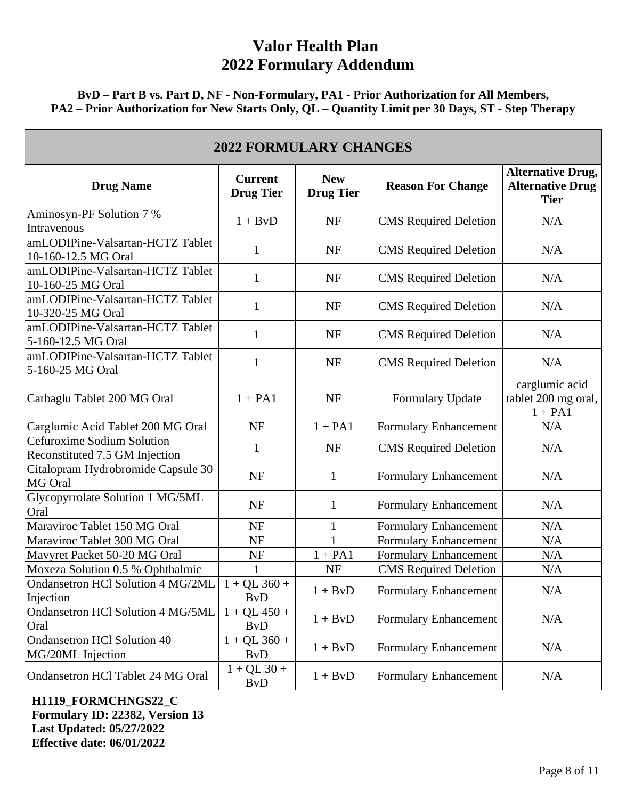**BvD – Part B vs. Part D, NF - Non-Formulary, PA1 - Prior Authorization for All Members, PA2 – Prior Authorization for New Starts Only, QL – Quantity Limit per 30 Days, ST - Step Therapy** 

| <b>2022 FORMULARY CHANGES</b>                                |                                           |                                |                              |                                                                    |  |
|--------------------------------------------------------------|-------------------------------------------|--------------------------------|------------------------------|--------------------------------------------------------------------|--|
| <b>Drug Name</b>                                             | <b>Current</b><br><b>Drug Tier</b>        | <b>New</b><br><b>Drug Tier</b> | <b>Reason For Change</b>     | <b>Alternative Drug,</b><br><b>Alternative Drug</b><br><b>Tier</b> |  |
| Aminosyn-PF Solution 7 %<br>Intravenous                      | $1 + BvD$                                 | <b>NF</b>                      | <b>CMS</b> Required Deletion | N/A                                                                |  |
| amLODIPine-Valsartan-HCTZ Tablet<br>10-160-12.5 MG Oral      | 1                                         | NF                             | <b>CMS</b> Required Deletion | N/A                                                                |  |
| amLODIPine-Valsartan-HCTZ Tablet<br>10-160-25 MG Oral        | 1                                         | NF                             | <b>CMS</b> Required Deletion | N/A                                                                |  |
| amLODIPine-Valsartan-HCTZ Tablet<br>10-320-25 MG Oral        | 1                                         | <b>NF</b>                      | <b>CMS</b> Required Deletion | N/A                                                                |  |
| amLODIPine-Valsartan-HCTZ Tablet<br>5-160-12.5 MG Oral       | 1                                         | <b>NF</b>                      | <b>CMS</b> Required Deletion | N/A                                                                |  |
| amLODIPine-Valsartan-HCTZ Tablet<br>5-160-25 MG Oral         | 1                                         | NF                             | <b>CMS</b> Required Deletion | N/A                                                                |  |
| Carbaglu Tablet 200 MG Oral                                  | $1 + PA1$                                 | <b>NF</b>                      | Formulary Update             | carglumic acid<br>tablet 200 mg oral,<br>$1 + PA1$                 |  |
| Carglumic Acid Tablet 200 MG Oral                            | <b>NF</b>                                 | $1 + PA1$                      | <b>Formulary Enhancement</b> | N/A                                                                |  |
| Cefuroxime Sodium Solution<br>Reconstituted 7.5 GM Injection | 1                                         | <b>NF</b>                      | <b>CMS</b> Required Deletion | N/A                                                                |  |
| Citalopram Hydrobromide Capsule 30<br>MG Oral                | <b>NF</b>                                 | $\mathbf{1}$                   | Formulary Enhancement        | N/A                                                                |  |
| Glycopyrrolate Solution 1 MG/5ML<br>Oral                     | <b>NF</b>                                 | $\mathbf{1}$                   | Formulary Enhancement        | N/A                                                                |  |
| Maraviroc Tablet 150 MG Oral                                 | <b>NF</b>                                 | $\mathbf{1}$                   | <b>Formulary Enhancement</b> | N/A                                                                |  |
| Maraviroc Tablet 300 MG Oral                                 | <b>NF</b>                                 | $\mathbf{1}$                   | Formulary Enhancement        | N/A                                                                |  |
| Mavyret Packet 50-20 MG Oral                                 | NF                                        | $1 + PA1$                      | <b>Formulary Enhancement</b> | N/A                                                                |  |
| Moxeza Solution 0.5 % Ophthalmic                             |                                           | <b>NF</b>                      | <b>CMS</b> Required Deletion | N/A                                                                |  |
| Ondansetron HCl Solution 4 MG/2ML<br>Injection               | $1 + QL$ 360 +<br><b>B</b> <sub>v</sub> D | $1 + BvD$                      | <b>Formulary Enhancement</b> | N/A                                                                |  |
| Ondansetron HCl Solution 4 MG/5ML<br>Oral                    | $1 + QL 450 +$<br><b>B</b> <sub>v</sub> D | $1 + BvD$                      | Formulary Enhancement        | N/A                                                                |  |
| <b>Ondansetron HCl Solution 40</b><br>MG/20ML Injection      | $1 + QL$ 360 +<br><b>B</b> <sub>v</sub> D | $1 + BvD$                      | Formulary Enhancement        | N/A                                                                |  |
| Ondansetron HCl Tablet 24 MG Oral                            | $1 + QL$ 30 +<br><b>B</b> <sub>v</sub> D  | $1 + BvD$                      | <b>Formulary Enhancement</b> | N/A                                                                |  |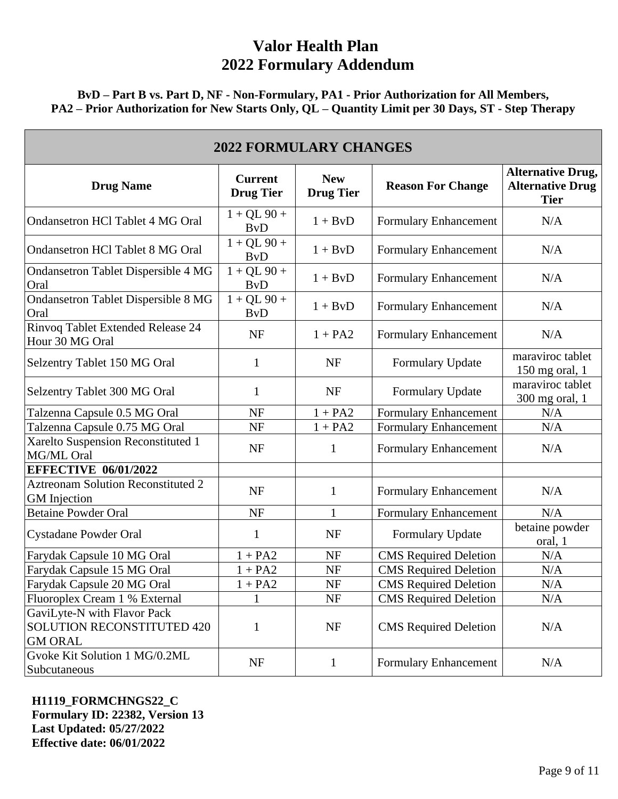**BvD – Part B vs. Part D, NF - Non-Formulary, PA1 - Prior Authorization for All Members, PA2 – Prior Authorization for New Starts Only, QL – Quantity Limit per 30 Days, ST - Step Therapy** 

| <b>2022 FORMULARY CHANGES</b>                                                      |                                          |                                |                              |                                                                    |  |
|------------------------------------------------------------------------------------|------------------------------------------|--------------------------------|------------------------------|--------------------------------------------------------------------|--|
| <b>Drug Name</b>                                                                   | <b>Current</b><br><b>Drug Tier</b>       | <b>New</b><br><b>Drug Tier</b> | <b>Reason For Change</b>     | <b>Alternative Drug,</b><br><b>Alternative Drug</b><br><b>Tier</b> |  |
| <b>Ondansetron HCl Tablet 4 MG Oral</b>                                            | $1 + QL$ 90 +<br><b>ByD</b>              | $1 + BvD$                      | <b>Formulary Enhancement</b> | N/A                                                                |  |
| <b>Ondansetron HCl Tablet 8 MG Oral</b>                                            | $1 + QL$ 90 +<br><b>BvD</b>              | $1 + BvD$                      | Formulary Enhancement        | N/A                                                                |  |
| <b>Ondansetron Tablet Dispersible 4 MG</b><br>Oral                                 | $1 + QL$ 90 +<br><b>B</b> <sub>v</sub> D | $1 + BvD$                      | Formulary Enhancement        | N/A                                                                |  |
| <b>Ondansetron Tablet Dispersible 8 MG</b><br>Oral                                 | $1 + QL$ 90 +<br><b>B</b> <sub>v</sub> D | $1 + BvD$                      | <b>Formulary Enhancement</b> | N/A                                                                |  |
| Rinvoq Tablet Extended Release 24<br>Hour 30 MG Oral                               | <b>NF</b>                                | $1 + PA2$                      | Formulary Enhancement        | N/A                                                                |  |
| Selzentry Tablet 150 MG Oral                                                       | 1                                        | NF                             | Formulary Update             | maraviroc tablet<br>150 mg oral, 1                                 |  |
| Selzentry Tablet 300 MG Oral                                                       | 1                                        | NF                             | Formulary Update             | maraviroc tablet<br>300 mg oral, 1                                 |  |
| Talzenna Capsule 0.5 MG Oral                                                       | <b>NF</b>                                | $1 + PA2$                      | <b>Formulary Enhancement</b> | N/A                                                                |  |
| Talzenna Capsule 0.75 MG Oral                                                      | NF                                       | $1 + PA2$                      | <b>Formulary Enhancement</b> | N/A                                                                |  |
| Xarelto Suspension Reconstituted 1<br>MG/ML Oral                                   | <b>NF</b>                                | 1                              | Formulary Enhancement        | N/A                                                                |  |
| <b>EFFECTIVE 06/01/2022</b>                                                        |                                          |                                |                              |                                                                    |  |
| <b>Aztreonam Solution Reconstituted 2</b><br><b>GM</b> Injection                   | <b>NF</b>                                | $\mathbf{1}$                   | Formulary Enhancement        | N/A                                                                |  |
| <b>Betaine Powder Oral</b>                                                         | <b>NF</b>                                | 1                              | <b>Formulary Enhancement</b> | N/A                                                                |  |
| <b>Cystadane Powder Oral</b>                                                       | 1                                        | NF                             | <b>Formulary Update</b>      | betaine powder<br>oral, 1                                          |  |
| Farydak Capsule 10 MG Oral                                                         | $1 + PA2$                                | <b>NF</b>                      | <b>CMS</b> Required Deletion | N/A                                                                |  |
| Farydak Capsule 15 MG Oral                                                         | $1 + PA2$                                | <b>NF</b>                      | <b>CMS</b> Required Deletion | N/A                                                                |  |
| Farydak Capsule 20 MG Oral                                                         | $1 + PA2$                                | <b>NF</b>                      | <b>CMS</b> Required Deletion | N/A                                                                |  |
| Fluoroplex Cream 1 % External                                                      |                                          | NF                             | <b>CMS</b> Required Deletion | N/A                                                                |  |
| GaviLyte-N with Flavor Pack<br><b>SOLUTION RECONSTITUTED 420</b><br><b>GM ORAL</b> | 1                                        | NF                             | <b>CMS</b> Required Deletion | N/A                                                                |  |
| Gvoke Kit Solution 1 MG/0.2ML<br>Subcutaneous                                      | NF                                       | $\mathbf{1}$                   | <b>Formulary Enhancement</b> | N/A                                                                |  |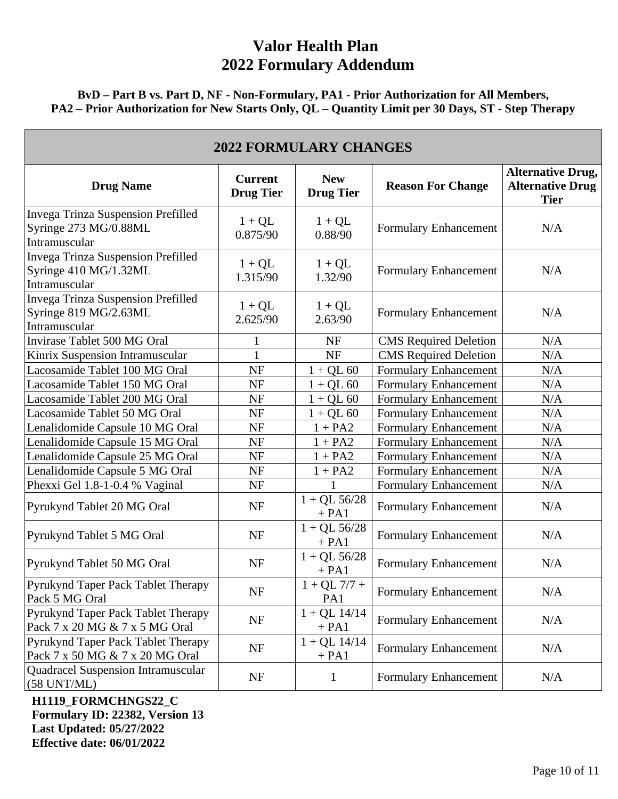#### **BvD – Part B vs. Part D, NF - Non-Formulary, PA1 - Prior Authorization for All Members, PA2 – Prior Authorization for New Starts Only, QL – Quantity Limit per 30 Days, ST - Step Therapy**

| <b>2022 FORMULARY CHANGES</b>                                                |                                    |                                |                              |                                                                    |  |
|------------------------------------------------------------------------------|------------------------------------|--------------------------------|------------------------------|--------------------------------------------------------------------|--|
| <b>Drug Name</b>                                                             | <b>Current</b><br><b>Drug Tier</b> | <b>New</b><br><b>Drug Tier</b> | <b>Reason For Change</b>     | <b>Alternative Drug,</b><br><b>Alternative Drug</b><br><b>Tier</b> |  |
| Invega Trinza Suspension Prefilled<br>Syringe 273 MG/0.88ML<br>Intramuscular | $1 + QL$<br>0.875/90               | $1 + QL$<br>0.88/90            | Formulary Enhancement        | N/A                                                                |  |
| Invega Trinza Suspension Prefilled<br>Syringe 410 MG/1.32ML<br>Intramuscular | $1 + QL$<br>1.315/90               | $1 + QL$<br>1.32/90            | Formulary Enhancement        | N/A                                                                |  |
| Invega Trinza Suspension Prefilled<br>Syringe 819 MG/2.63ML<br>Intramuscular | $1 + QL$<br>2.625/90               | $1 + QL$<br>2.63/90            | Formulary Enhancement        | N/A                                                                |  |
| Invirase Tablet 500 MG Oral                                                  |                                    | <b>NF</b>                      | <b>CMS</b> Required Deletion | N/A                                                                |  |
| Kinrix Suspension Intramuscular                                              | 1                                  | <b>NF</b>                      | <b>CMS</b> Required Deletion | N/A                                                                |  |
| Lacosamide Tablet 100 MG Oral                                                | <b>NF</b>                          | $1 + QL 60$                    | Formulary Enhancement        | N/A                                                                |  |
| Lacosamide Tablet 150 MG Oral                                                | <b>NF</b>                          | $1 + QL 60$                    | <b>Formulary Enhancement</b> | N/A                                                                |  |
| Lacosamide Tablet 200 MG Oral                                                | NF                                 | $1 + QL 60$                    | Formulary Enhancement        | N/A                                                                |  |
| Lacosamide Tablet 50 MG Oral                                                 | <b>NF</b>                          | $1 + QL 60$                    | Formulary Enhancement        | N/A                                                                |  |
| Lenalidomide Capsule 10 MG Oral                                              | NF                                 | $1 + PA2$                      | Formulary Enhancement        | N/A                                                                |  |
| Lenalidomide Capsule 15 MG Oral                                              | NF                                 | $1 + PA2$                      | Formulary Enhancement        | N/A                                                                |  |
| Lenalidomide Capsule 25 MG Oral                                              | NF                                 | $1 + PA2$                      | Formulary Enhancement        | N/A                                                                |  |
| Lenalidomide Capsule 5 MG Oral                                               | NF                                 | $1 + PA2$                      | Formulary Enhancement        | N/A                                                                |  |
| Phexxi Gel 1.8-1-0.4 % Vaginal                                               | NF                                 | 1                              | <b>Formulary Enhancement</b> | $\rm N/A$                                                          |  |
| Pyrukynd Tablet 20 MG Oral                                                   | NF                                 | $1 + QL$ 56/28<br>$+ PA1$      | Formulary Enhancement        | N/A                                                                |  |
| Pyrukynd Tablet 5 MG Oral                                                    | NF                                 | $1 + QL$ 56/28<br>$+ PA1$      | Formulary Enhancement        | N/A                                                                |  |
| Pyrukynd Tablet 50 MG Oral                                                   | NF                                 | $1 + QL$ 56/28<br>$+ PA1$      | Formulary Enhancement        | N/A                                                                |  |
| Pyrukynd Taper Pack Tablet Therapy<br>Pack 5 MG Oral                         | NF                                 | $1 + QL$ 7/7 +<br>PA1          | Formulary Enhancement        | N/A                                                                |  |
| Pyrukynd Taper Pack Tablet Therapy<br>Pack 7 x 20 MG & 7 x 5 MG Oral         | NF                                 | $1 + QL$ 14/14<br>$+ PA1$      | Formulary Enhancement        | N/A                                                                |  |
| Pyrukynd Taper Pack Tablet Therapy<br>Pack 7 x 50 MG & 7 x 20 MG Oral        | <b>NF</b>                          | $1 + QL$ 14/14<br>$+ PA1$      | Formulary Enhancement        | N/A                                                                |  |
| Quadracel Suspension Intramuscular<br>$(58 \text{ UNT/ML})$                  | NF                                 | $\mathbf{1}$                   | Formulary Enhancement        | N/A                                                                |  |